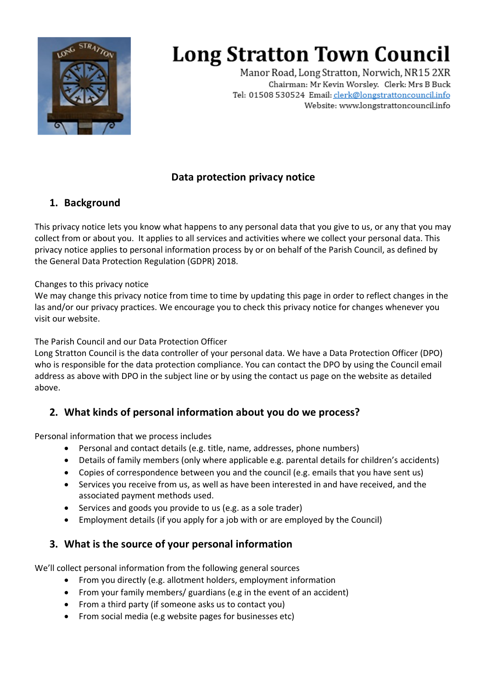

Manor Road, Long Stratton, Norwich, NR15 2XR Chairman: Mr Kevin Worsley. Clerk: Mrs B Buck Tel: 01508 530524 Email: clerk@longstrattoncouncil.info Website: www.longstrattoncouncil.info

### **Data protection privacy notice**

#### **1. Background**

This privacy notice lets you know what happens to any personal data that you give to us, or any that you may collect from or about you. It applies to all services and activities where we collect your personal data. This privacy notice applies to personal information process by or on behalf of the Parish Council, as defined by the General Data Protection Regulation (GDPR) 2018.

#### Changes to this privacy notice

We may change this privacy notice from time to time by updating this page in order to reflect changes in the las and/or our privacy practices. We encourage you to check this privacy notice for changes whenever you visit our website.

The Parish Council and our Data Protection Officer

Long Stratton Council is the data controller of your personal data. We have a Data Protection Officer (DPO) who is responsible for the data protection compliance. You can contact the DPO by using the Council email address as above with DPO in the subject line or by using the contact us page on the website as detailed above.

### **2. What kinds of personal information about you do we process?**

Personal information that we process includes

- Personal and contact details (e.g. title, name, addresses, phone numbers)
- Details of family members (only where applicable e.g. parental details for children's accidents)
- Copies of correspondence between you and the council (e.g. emails that you have sent us)
- Services you receive from us, as well as have been interested in and have received, and the associated payment methods used.
- Services and goods you provide to us (e.g. as a sole trader)
- Employment details (if you apply for a job with or are employed by the Council)

#### **3. What is the source of your personal information**

We'll collect personal information from the following general sources

- From you directly (e.g. allotment holders, employment information
- From your family members/ guardians (e.g in the event of an accident)
- From a third party (if someone asks us to contact you)
- From social media (e.g website pages for businesses etc)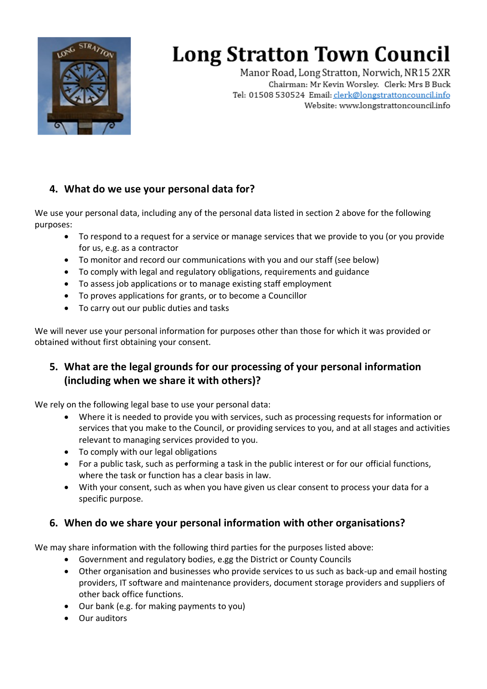

Manor Road, Long Stratton, Norwich, NR15 2XR Chairman: Mr Kevin Worsley. Clerk: Mrs B Buck Tel: 01508 530524 Email: clerk@longstrattoncouncil.info Website: www.longstrattoncouncil.info

#### **4. What do we use your personal data for?**

We use your personal data, including any of the personal data listed in section 2 above for the following purposes:

- To respond to a request for a service or manage services that we provide to you (or you provide for us, e.g. as a contractor
- To monitor and record our communications with you and our staff (see below)
- To comply with legal and regulatory obligations, requirements and guidance
- To assess job applications or to manage existing staff employment
- To proves applications for grants, or to become a Councillor
- To carry out our public duties and tasks

We will never use your personal information for purposes other than those for which it was provided or obtained without first obtaining your consent.

### **5. What are the legal grounds for our processing of your personal information (including when we share it with others)?**

We rely on the following legal base to use your personal data:

- Where it is needed to provide you with services, such as processing requests for information or services that you make to the Council, or providing services to you, and at all stages and activities relevant to managing services provided to you.
- To comply with our legal obligations
- For a public task, such as performing a task in the public interest or for our official functions, where the task or function has a clear basis in law.
- With your consent, such as when you have given us clear consent to process your data for a specific purpose.

### **6. When do we share your personal information with other organisations?**

We may share information with the following third parties for the purposes listed above:

- Government and regulatory bodies, e.gg the District or County Councils
- Other organisation and businesses who provide services to us such as back-up and email hosting providers, IT software and maintenance providers, document storage providers and suppliers of other back office functions.
- Our bank (e.g. for making payments to you)
- Our auditors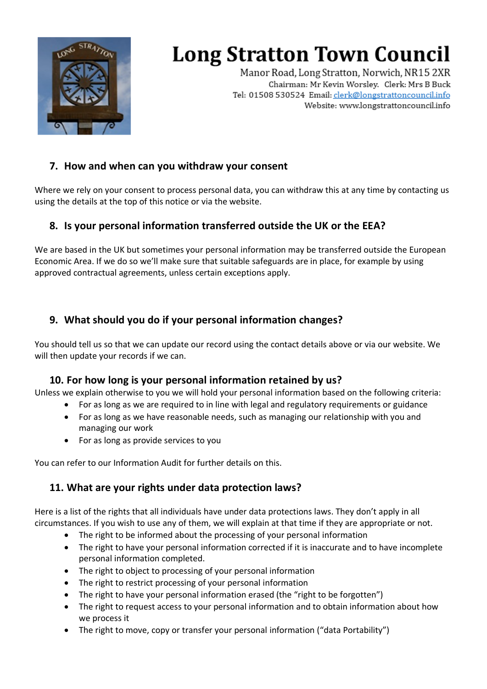

Manor Road, Long Stratton, Norwich, NR15 2XR Chairman: Mr Kevin Worsley. Clerk: Mrs B Buck Tel: 01508 530524 Email: clerk@longstrattoncouncil.info Website: www.longstrattoncouncil.info

#### **7. How and when can you withdraw your consent**

Where we rely on your consent to process personal data, you can withdraw this at any time by contacting us using the details at the top of this notice or via the website.

#### **8. Is your personal information transferred outside the UK or the EEA?**

We are based in the UK but sometimes your personal information may be transferred outside the European Economic Area. If we do so we'll make sure that suitable safeguards are in place, for example by using approved contractual agreements, unless certain exceptions apply.

#### **9. What should you do if your personal information changes?**

You should tell us so that we can update our record using the contact details above or via our website. We will then update your records if we can.

#### **10. For how long is your personal information retained by us?**

Unless we explain otherwise to you we will hold your personal information based on the following criteria:

- For as long as we are required to in line with legal and regulatory requirements or guidance
- For as long as we have reasonable needs, such as managing our relationship with you and managing our work
- For as long as provide services to you

You can refer to our Information Audit for further details on this.

### **11. What are your rights under data protection laws?**

Here is a list of the rights that all individuals have under data protections laws. They don't apply in all circumstances. If you wish to use any of them, we will explain at that time if they are appropriate or not.

- The right to be informed about the processing of your personal information
- The right to have your personal information corrected if it is inaccurate and to have incomplete personal information completed.
- The right to object to processing of your personal information
- The right to restrict processing of your personal information
- The right to have your personal information erased (the "right to be forgotten")
- The right to request access to your personal information and to obtain information about how we process it
- The right to move, copy or transfer your personal information ("data Portability")